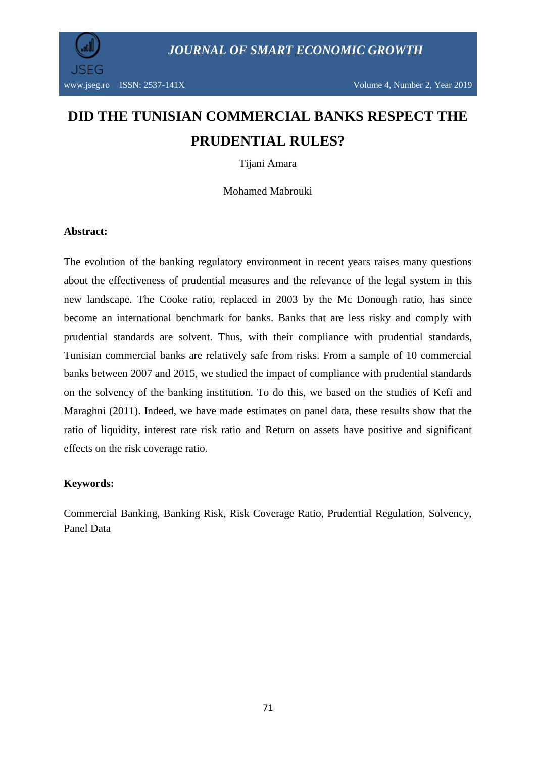



www.jseg.ro ISSN: 2537-141X Volume 4, Number 2, Year 2019

# **DID THE TUNISIAN COMMERCIAL BANKS RESPECT THE PRUDENTIAL RULES?**

Tijani Amara

Mohamed Mabrouki

#### **Abstract:**

The evolution of the banking regulatory environment in recent years raises many questions about the effectiveness of prudential measures and the relevance of the legal system in this new landscape. The Cooke ratio, replaced in 2003 by the Mc Donough ratio, has since become an international benchmark for banks. Banks that are less risky and comply with prudential standards are solvent. Thus, with their compliance with prudential standards, Tunisian commercial banks are relatively safe from risks. From a sample of 10 commercial banks between 2007 and 2015, we studied the impact of compliance with prudential standards on the solvency of the banking institution. To do this, we based on the studies of Kefi and Maraghni (2011). Indeed, we have made estimates on panel data, these results show that the ratio of liquidity, interest rate risk ratio and Return on assets have positive and significant effects on the risk coverage ratio.

#### **Keywords:**

Commercial Banking, Banking Risk, Risk Coverage Ratio, Prudential Regulation, Solvency, Panel Data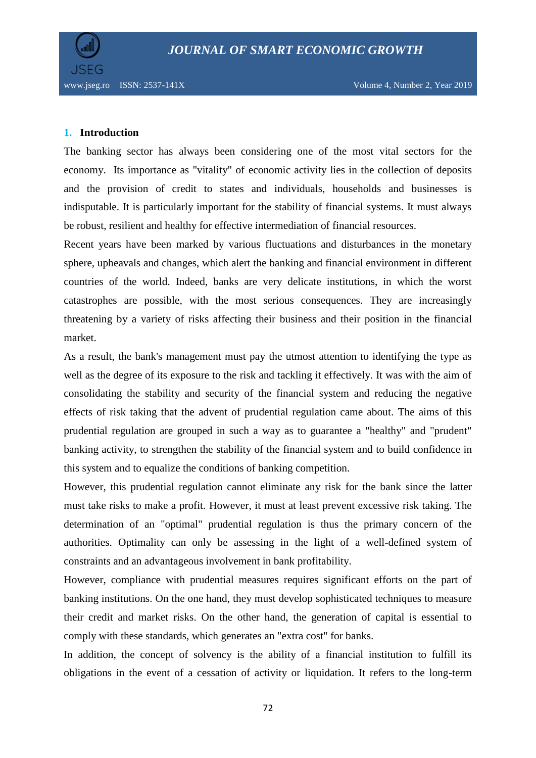

#### **1. Introduction**

The banking sector has always been considering one of the most vital sectors for the economy. Its importance as "vitality" of economic activity lies in the collection of deposits and the provision of credit to states and individuals, households and businesses is indisputable. It is particularly important for the stability of financial systems. It must always be robust, resilient and healthy for effective intermediation of financial resources.

Recent years have been marked by various fluctuations and disturbances in the monetary sphere, upheavals and changes, which alert the banking and financial environment in different countries of the world. Indeed, banks are very delicate institutions, in which the worst catastrophes are possible, with the most serious consequences. They are increasingly threatening by a variety of risks affecting their business and their position in the financial market.

As a result, the bank's management must pay the utmost attention to identifying the type as well as the degree of its exposure to the risk and tackling it effectively. It was with the aim of consolidating the stability and security of the financial system and reducing the negative effects of risk taking that the advent of prudential regulation came about. The aims of this prudential regulation are grouped in such a way as to guarantee a "healthy" and "prudent" banking activity, to strengthen the stability of the financial system and to build confidence in this system and to equalize the conditions of banking competition.

However, this prudential regulation cannot eliminate any risk for the bank since the latter must take risks to make a profit. However, it must at least prevent excessive risk taking. The determination of an "optimal" prudential regulation is thus the primary concern of the authorities. Optimality can only be assessing in the light of a well-defined system of constraints and an advantageous involvement in bank profitability.

However, compliance with prudential measures requires significant efforts on the part of banking institutions. On the one hand, they must develop sophisticated techniques to measure their credit and market risks. On the other hand, the generation of capital is essential to comply with these standards, which generates an "extra cost" for banks.

In addition, the concept of solvency is the ability of a financial institution to fulfill its obligations in the event of a cessation of activity or liquidation. It refers to the long-term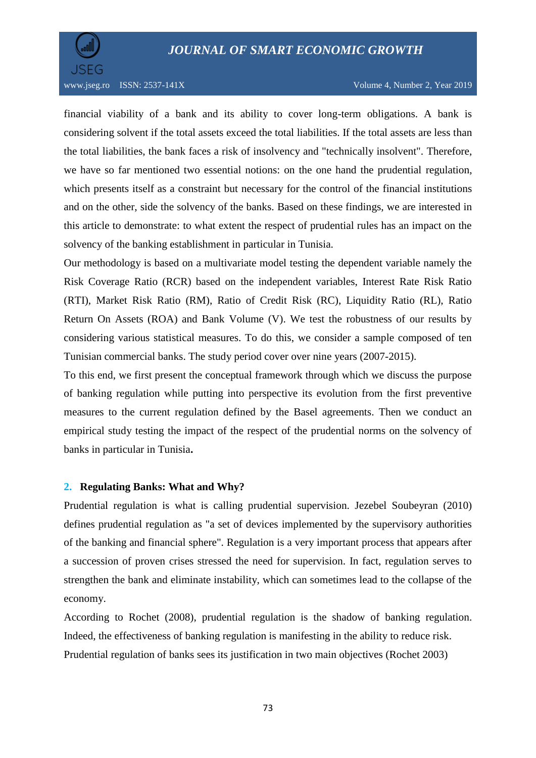

financial viability of a bank and its ability to cover long-term obligations. A bank is considering solvent if the total assets exceed the total liabilities. If the total assets are less than the total liabilities, the bank faces a risk of insolvency and "technically insolvent". Therefore, we have so far mentioned two essential notions: on the one hand the prudential regulation, which presents itself as a constraint but necessary for the control of the financial institutions and on the other, side the solvency of the banks. Based on these findings, we are interested in this article to demonstrate: to what extent the respect of prudential rules has an impact on the solvency of the banking establishment in particular in Tunisia.

Our methodology is based on a multivariate model testing the dependent variable namely the Risk Coverage Ratio (RCR) based on the independent variables, Interest Rate Risk Ratio (RTI), Market Risk Ratio (RM), Ratio of Credit Risk (RC), Liquidity Ratio (RL), Ratio Return On Assets (ROA) and Bank Volume (V). We test the robustness of our results by considering various statistical measures. To do this, we consider a sample composed of ten Tunisian commercial banks. The study period cover over nine years (2007-2015).

To this end, we first present the conceptual framework through which we discuss the purpose of banking regulation while putting into perspective its evolution from the first preventive measures to the current regulation defined by the Basel agreements. Then we conduct an empirical study testing the impact of the respect of the prudential norms on the solvency of banks in particular in Tunisia**.**

#### **2. Regulating Banks: What and Why?**

Prudential regulation is what is calling prudential supervision. Jezebel Soubeyran (2010) defines prudential regulation as "a set of devices implemented by the supervisory authorities of the banking and financial sphere". Regulation is a very important process that appears after a succession of proven crises stressed the need for supervision. In fact, regulation serves to strengthen the bank and eliminate instability, which can sometimes lead to the collapse of the economy.

According to Rochet (2008), prudential regulation is the shadow of banking regulation. Indeed, the effectiveness of banking regulation is manifesting in the ability to reduce risk. Prudential regulation of banks sees its justification in two main objectives (Rochet 2003)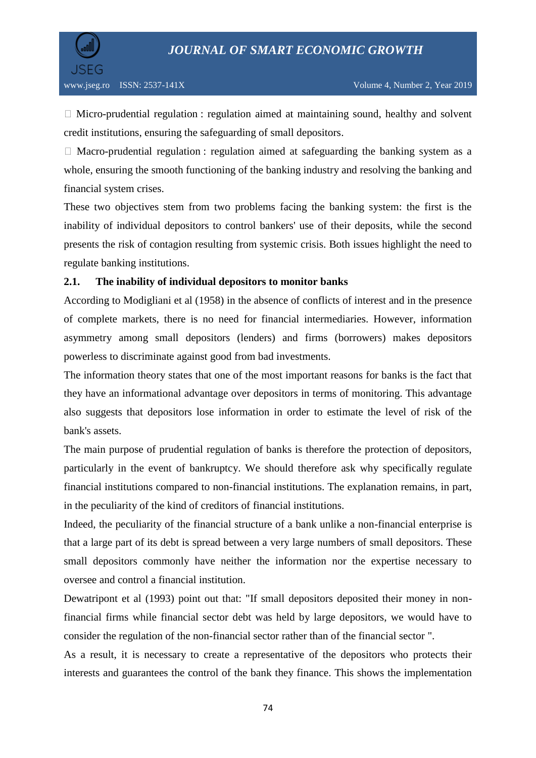

 $\Box$  Micro-prudential regulation : regulation aimed at maintaining sound, healthy and solvent credit institutions, ensuring the safeguarding of small depositors.

 $\Box$  Macro-prudential regulation : regulation aimed at safeguarding the banking system as a whole, ensuring the smooth functioning of the banking industry and resolving the banking and financial system crises.

These two objectives stem from two problems facing the banking system: the first is the inability of individual depositors to control bankers' use of their deposits, while the second presents the risk of contagion resulting from systemic crisis. Both issues highlight the need to regulate banking institutions.

#### **2.1. The inability of individual depositors to monitor banks**

According to Modigliani et al (1958) in the absence of conflicts of interest and in the presence of complete markets, there is no need for financial intermediaries. However, information asymmetry among small depositors (lenders) and firms (borrowers) makes depositors powerless to discriminate against good from bad investments.

The information theory states that one of the most important reasons for banks is the fact that they have an informational advantage over depositors in terms of monitoring. This advantage also suggests that depositors lose information in order to estimate the level of risk of the bank's assets.

The main purpose of prudential regulation of banks is therefore the protection of depositors, particularly in the event of bankruptcy. We should therefore ask why specifically regulate financial institutions compared to non-financial institutions. The explanation remains, in part, in the peculiarity of the kind of creditors of financial institutions.

Indeed, the peculiarity of the financial structure of a bank unlike a non-financial enterprise is that a large part of its debt is spread between a very large numbers of small depositors. These small depositors commonly have neither the information nor the expertise necessary to oversee and control a financial institution.

Dewatripont et al (1993) point out that: "If small depositors deposited their money in nonfinancial firms while financial sector debt was held by large depositors, we would have to consider the regulation of the non-financial sector rather than of the financial sector ".

As a result, it is necessary to create a representative of the depositors who protects their interests and guarantees the control of the bank they finance. This shows the implementation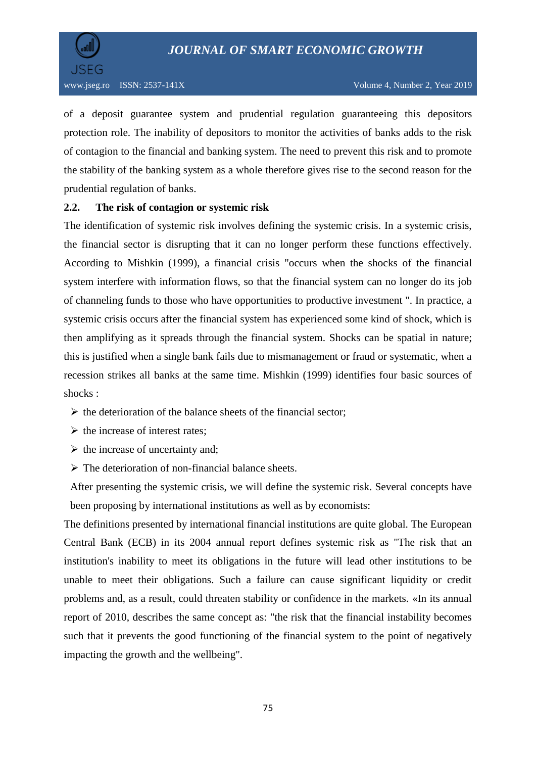

of a deposit guarantee system and prudential regulation guaranteeing this depositors protection role. The inability of depositors to monitor the activities of banks adds to the risk of contagion to the financial and banking system. The need to prevent this risk and to promote the stability of the banking system as a whole therefore gives rise to the second reason for the prudential regulation of banks.

#### **2.2. The risk of contagion or systemic risk**

The identification of systemic risk involves defining the systemic crisis. In a systemic crisis, the financial sector is disrupting that it can no longer perform these functions effectively. According to Mishkin (1999), a financial crisis "occurs when the shocks of the financial system interfere with information flows, so that the financial system can no longer do its job of channeling funds to those who have opportunities to productive investment ". In practice, a systemic crisis occurs after the financial system has experienced some kind of shock, which is then amplifying as it spreads through the financial system. Shocks can be spatial in nature; this is justified when a single bank fails due to mismanagement or fraud or systematic, when a recession strikes all banks at the same time. Mishkin (1999) identifies four basic sources of shocks :

- $\triangleright$  the deterioration of the balance sheets of the financial sector;
- $\triangleright$  the increase of interest rates;
- $\triangleright$  the increase of uncertainty and;
- $\triangleright$  The deterioration of non-financial balance sheets.

After presenting the systemic crisis, we will define the systemic risk. Several concepts have been proposing by international institutions as well as by economists:

The definitions presented by international financial institutions are quite global. The European Central Bank (ECB) in its 2004 annual report defines systemic risk as "The risk that an institution's inability to meet its obligations in the future will lead other institutions to be unable to meet their obligations. Such a failure can cause significant liquidity or credit problems and, as a result, could threaten stability or confidence in the markets. «In its annual report of 2010, describes the same concept as: "the risk that the financial instability becomes such that it prevents the good functioning of the financial system to the point of negatively impacting the growth and the wellbeing".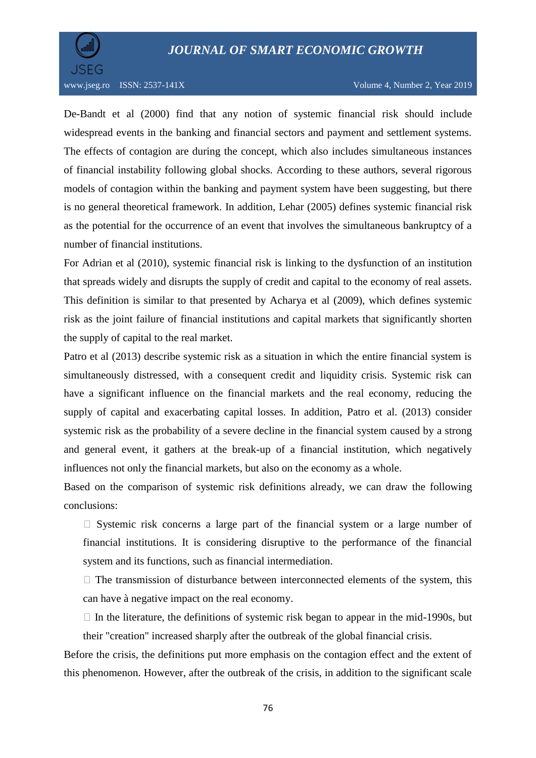

De-Bandt et al (2000) find that any notion of systemic financial risk should include widespread events in the banking and financial sectors and payment and settlement systems. The effects of contagion are during the concept, which also includes simultaneous instances of financial instability following global shocks. According to these authors, several rigorous models of contagion within the banking and payment system have been suggesting, but there is no general theoretical framework. In addition, Lehar (2005) defines systemic financial risk as the potential for the occurrence of an event that involves the simultaneous bankruptcy of a number of financial institutions.

For Adrian et al (2010), systemic financial risk is linking to the dysfunction of an institution that spreads widely and disrupts the supply of credit and capital to the economy of real assets. This definition is similar to that presented by Acharya et al (2009), which defines systemic risk as the joint failure of financial institutions and capital markets that significantly shorten the supply of capital to the real market.

Patro et al (2013) describe systemic risk as a situation in which the entire financial system is simultaneously distressed, with a consequent credit and liquidity crisis. Systemic risk can have a significant influence on the financial markets and the real economy, reducing the supply of capital and exacerbating capital losses. In addition, Patro et al. (2013) consider systemic risk as the probability of a severe decline in the financial system caused by a strong and general event, it gathers at the break-up of a financial institution, which negatively influences not only the financial markets, but also on the economy as a whole.

Based on the comparison of systemic risk definitions already, we can draw the following conclusions:

 $\Box$  Systemic risk concerns a large part of the financial system or a large number of financial institutions. It is considering disruptive to the performance of the financial system and its functions, such as financial intermediation.

 $\Box$  The transmission of disturbance between interconnected elements of the system, this can have à negative impact on the real economy.

 $\Box$  In the literature, the definitions of systemic risk began to appear in the mid-1990s, but their "creation" increased sharply after the outbreak of the global financial crisis.

Before the crisis, the definitions put more emphasis on the contagion effect and the extent of this phenomenon. However, after the outbreak of the crisis, in addition to the significant scale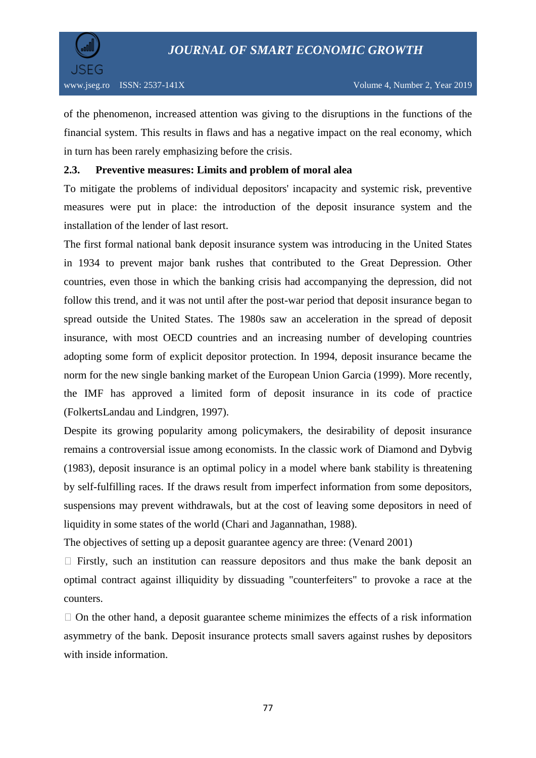

of the phenomenon, increased attention was giving to the disruptions in the functions of the financial system. This results in flaws and has a negative impact on the real economy, which in turn has been rarely emphasizing before the crisis.

#### **2.3. Preventive measures: Limits and problem of moral alea**

To mitigate the problems of individual depositors' incapacity and systemic risk, preventive measures were put in place: the introduction of the deposit insurance system and the installation of the lender of last resort.

The first formal national bank deposit insurance system was introducing in the United States in 1934 to prevent major bank rushes that contributed to the Great Depression. Other countries, even those in which the banking crisis had accompanying the depression, did not follow this trend, and it was not until after the post-war period that deposit insurance began to spread outside the United States. The 1980s saw an acceleration in the spread of deposit insurance, with most OECD countries and an increasing number of developing countries adopting some form of explicit depositor protection. In 1994, deposit insurance became the norm for the new single banking market of the European Union Garcia (1999). More recently, the IMF has approved a limited form of deposit insurance in its code of practice (FolkertsLandau and Lindgren, 1997).

Despite its growing popularity among policymakers, the desirability of deposit insurance remains a controversial issue among economists. In the classic work of Diamond and Dybvig (1983), deposit insurance is an optimal policy in a model where bank stability is threatening by self-fulfilling races. If the draws result from imperfect information from some depositors, suspensions may prevent withdrawals, but at the cost of leaving some depositors in need of liquidity in some states of the world (Chari and Jagannathan, 1988).

The objectives of setting up a deposit guarantee agency are three: (Venard 2001)

 $\Box$  Firstly, such an institution can reassure depositors and thus make the bank deposit an optimal contract against illiquidity by dissuading "counterfeiters" to provoke a race at the counters.

 $\Box$  On the other hand, a deposit guarantee scheme minimizes the effects of a risk information asymmetry of the bank. Deposit insurance protects small savers against rushes by depositors with inside information.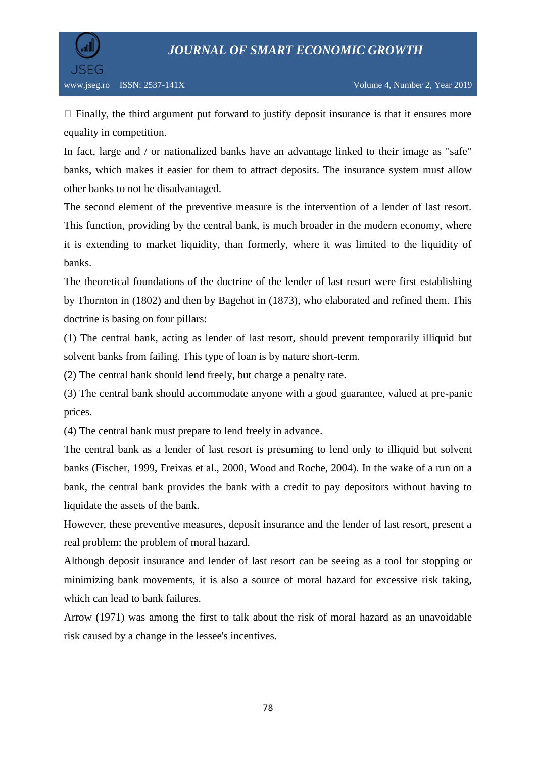

 $\Box$  Finally, the third argument put forward to justify deposit insurance is that it ensures more equality in competition.

In fact, large and / or nationalized banks have an advantage linked to their image as "safe" banks, which makes it easier for them to attract deposits. The insurance system must allow other banks to not be disadvantaged.

The second element of the preventive measure is the intervention of a lender of last resort. This function, providing by the central bank, is much broader in the modern economy, where it is extending to market liquidity, than formerly, where it was limited to the liquidity of banks.

The theoretical foundations of the doctrine of the lender of last resort were first establishing by Thornton in (1802) and then by Bagehot in (1873), who elaborated and refined them. This doctrine is basing on four pillars:

(1) The central bank, acting as lender of last resort, should prevent temporarily illiquid but solvent banks from failing. This type of loan is by nature short-term.

(2) The central bank should lend freely, but charge a penalty rate.

(3) The central bank should accommodate anyone with a good guarantee, valued at pre-panic prices.

(4) The central bank must prepare to lend freely in advance.

The central bank as a lender of last resort is presuming to lend only to illiquid but solvent banks (Fischer, 1999, Freixas et al., 2000, Wood and Roche, 2004). In the wake of a run on a bank, the central bank provides the bank with a credit to pay depositors without having to liquidate the assets of the bank.

However, these preventive measures, deposit insurance and the lender of last resort, present a real problem: the problem of moral hazard.

Although deposit insurance and lender of last resort can be seeing as a tool for stopping or minimizing bank movements, it is also a source of moral hazard for excessive risk taking, which can lead to bank failures.

Arrow (1971) was among the first to talk about the risk of moral hazard as an unavoidable risk caused by a change in the lessee's incentives.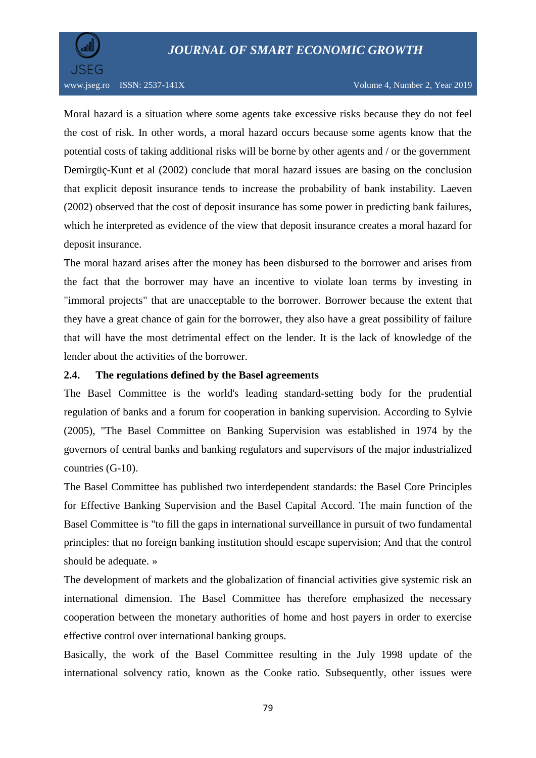

Moral hazard is a situation where some agents take excessive risks because they do not feel the cost of risk. In other words, a moral hazard occurs because some agents know that the potential costs of taking additional risks will be borne by other agents and / or the government Demirgüç-Kunt et al (2002) conclude that moral hazard issues are basing on the conclusion that explicit deposit insurance tends to increase the probability of bank instability. Laeven (2002) observed that the cost of deposit insurance has some power in predicting bank failures, which he interpreted as evidence of the view that deposit insurance creates a moral hazard for deposit insurance.

The moral hazard arises after the money has been disbursed to the borrower and arises from the fact that the borrower may have an incentive to violate loan terms by investing in "immoral projects" that are unacceptable to the borrower. Borrower because the extent that they have a great chance of gain for the borrower, they also have a great possibility of failure that will have the most detrimental effect on the lender. It is the lack of knowledge of the lender about the activities of the borrower.

#### **2.4. The regulations defined by the Basel agreements**

The Basel Committee is the world's leading standard-setting body for the prudential regulation of banks and a forum for cooperation in banking supervision. According to Sylvie (2005), "The Basel Committee on Banking Supervision was established in 1974 by the governors of central banks and banking regulators and supervisors of the major industrialized countries (G-10).

The Basel Committee has published two interdependent standards: the Basel Core Principles for Effective Banking Supervision and the Basel Capital Accord. The main function of the Basel Committee is "to fill the gaps in international surveillance in pursuit of two fundamental principles: that no foreign banking institution should escape supervision; And that the control should be adequate. »

The development of markets and the globalization of financial activities give systemic risk an international dimension. The Basel Committee has therefore emphasized the necessary cooperation between the monetary authorities of home and host payers in order to exercise effective control over international banking groups.

Basically, the work of the Basel Committee resulting in the July 1998 update of the international solvency ratio, known as the Cooke ratio. Subsequently, other issues were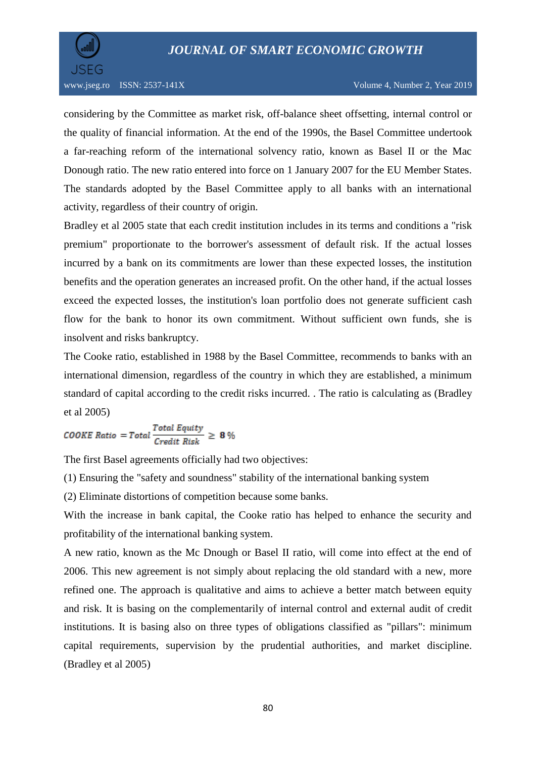

considering by the Committee as market risk, off-balance sheet offsetting, internal control or the quality of financial information. At the end of the 1990s, the Basel Committee undertook a far-reaching reform of the international solvency ratio, known as Basel II or the Mac Donough ratio. The new ratio entered into force on 1 January 2007 for the EU Member States. The standards adopted by the Basel Committee apply to all banks with an international activity, regardless of their country of origin.

Bradley et al 2005 state that each credit institution includes in its terms and conditions a "risk premium" proportionate to the borrower's assessment of default risk. If the actual losses incurred by a bank on its commitments are lower than these expected losses, the institution benefits and the operation generates an increased profit. On the other hand, if the actual losses exceed the expected losses, the institution's loan portfolio does not generate sufficient cash flow for the bank to honor its own commitment. Without sufficient own funds, she is insolvent and risks bankruptcy.

The Cooke ratio, established in 1988 by the Basel Committee, recommends to banks with an international dimension, regardless of the country in which they are established, a minimum standard of capital according to the credit risks incurred. . The ratio is calculating as (Bradley et al 2005)

**COOKE Ratio** = Total 
$$
\frac{Total \text{ Equity}}{Credit \text{ Risk}}
$$
  $\geq 8\%$ 

The first Basel agreements officially had two objectives:

(1) Ensuring the "safety and soundness" stability of the international banking system

(2) Eliminate distortions of competition because some banks.

With the increase in bank capital, the Cooke ratio has helped to enhance the security and profitability of the international banking system.

A new ratio, known as the Mc Dnough or Basel II ratio, will come into effect at the end of 2006. This new agreement is not simply about replacing the old standard with a new, more refined one. The approach is qualitative and aims to achieve a better match between equity and risk. It is basing on the complementarily of internal control and external audit of credit institutions. It is basing also on three types of obligations classified as "pillars": minimum capital requirements, supervision by the prudential authorities, and market discipline. (Bradley et al 2005)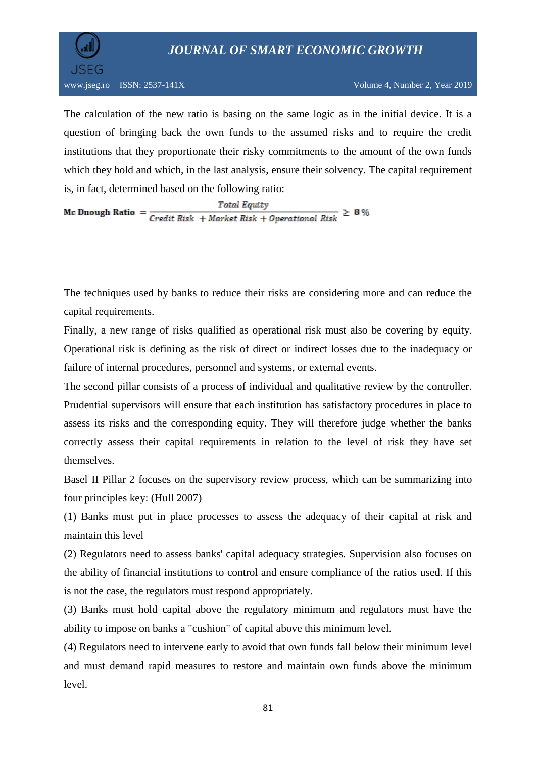

The calculation of the new ratio is basing on the same logic as in the initial device. It is a question of bringing back the own funds to the assumed risks and to require the credit institutions that they proportionate their risky commitments to the amount of the own funds which they hold and which, in the last analysis, ensure their solvency. The capital requirement is, in fact, determined based on the following ratio:

**Total Equity** Mc Dnough Ratio =  $\frac{1000 \text{ Hz}}{1000 \text{ Hz}} = 8\%$ 

The techniques used by banks to reduce their risks are considering more and can reduce the capital requirements.

Finally, a new range of risks qualified as operational risk must also be covering by equity. Operational risk is defining as the risk of direct or indirect losses due to the inadequacy or failure of internal procedures, personnel and systems, or external events.

The second pillar consists of a process of individual and qualitative review by the controller. Prudential supervisors will ensure that each institution has satisfactory procedures in place to assess its risks and the corresponding equity. They will therefore judge whether the banks correctly assess their capital requirements in relation to the level of risk they have set themselves.

Basel II Pillar 2 focuses on the supervisory review process, which can be summarizing into four principles key: (Hull 2007)

(1) Banks must put in place processes to assess the adequacy of their capital at risk and maintain this level

(2) Regulators need to assess banks' capital adequacy strategies. Supervision also focuses on the ability of financial institutions to control and ensure compliance of the ratios used. If this is not the case, the regulators must respond appropriately.

(3) Banks must hold capital above the regulatory minimum and regulators must have the ability to impose on banks a "cushion" of capital above this minimum level.

(4) Regulators need to intervene early to avoid that own funds fall below their minimum level and must demand rapid measures to restore and maintain own funds above the minimum level.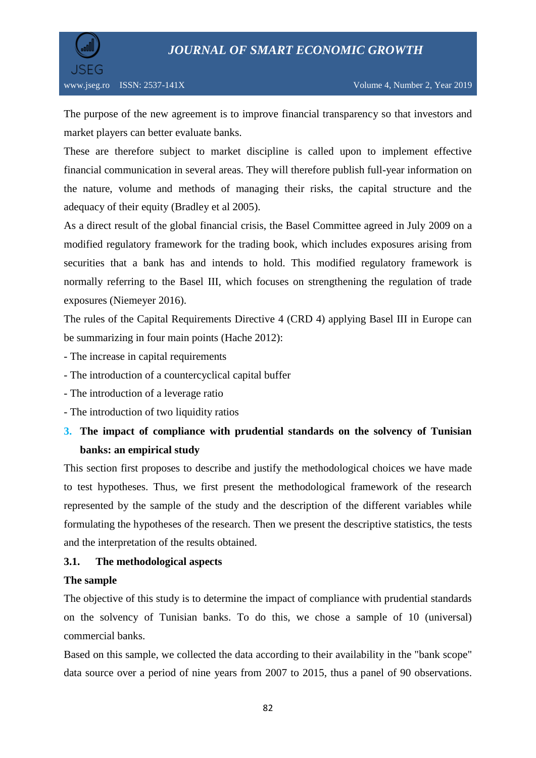

The purpose of the new agreement is to improve financial transparency so that investors and market players can better evaluate banks.

These are therefore subject to market discipline is called upon to implement effective financial communication in several areas. They will therefore publish full-year information on the nature, volume and methods of managing their risks, the capital structure and the adequacy of their equity (Bradley et al 2005).

As a direct result of the global financial crisis, the Basel Committee agreed in July 2009 on a modified regulatory framework for the trading book, which includes exposures arising from securities that a bank has and intends to hold. This modified regulatory framework is normally referring to the Basel III, which focuses on strengthening the regulation of trade exposures (Niemeyer 2016).

The rules of the Capital Requirements Directive 4 (CRD 4) applying Basel III in Europe can be summarizing in four main points (Hache 2012):

- The increase in capital requirements
- The introduction of a countercyclical capital buffer
- The introduction of a leverage ratio
- The introduction of two liquidity ratios

# **3. The impact of compliance with prudential standards on the solvency of Tunisian banks: an empirical study**

This section first proposes to describe and justify the methodological choices we have made to test hypotheses. Thus, we first present the methodological framework of the research represented by the sample of the study and the description of the different variables while formulating the hypotheses of the research. Then we present the descriptive statistics, the tests and the interpretation of the results obtained.

#### **3.1. The methodological aspects**

#### **The sample**

The objective of this study is to determine the impact of compliance with prudential standards on the solvency of Tunisian banks. To do this, we chose a sample of 10 (universal) commercial banks.

Based on this sample, we collected the data according to their availability in the "bank scope" data source over a period of nine years from 2007 to 2015, thus a panel of 90 observations.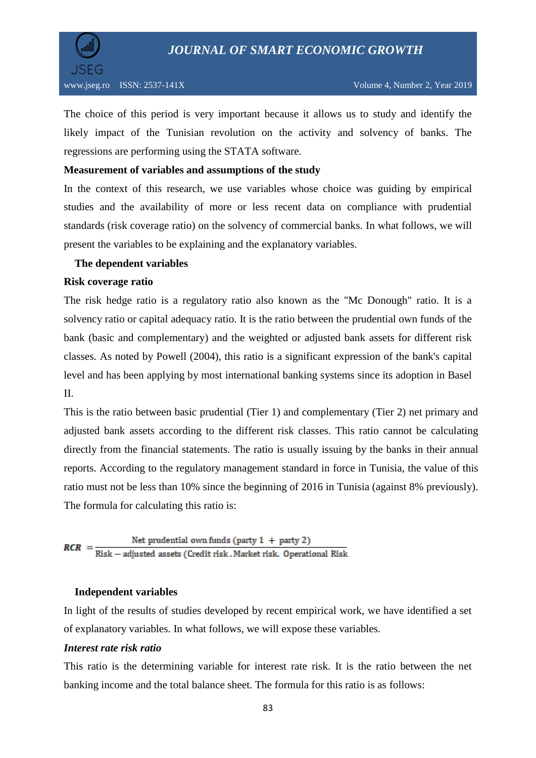

The choice of this period is very important because it allows us to study and identify the likely impact of the Tunisian revolution on the activity and solvency of banks. The regressions are performing using the STATA software.

#### **Measurement of variables and assumptions of the study**

In the context of this research, we use variables whose choice was guiding by empirical studies and the availability of more or less recent data on compliance with prudential standards (risk coverage ratio) on the solvency of commercial banks. In what follows, we will present the variables to be explaining and the explanatory variables.

#### **The dependent variables**

#### **Risk coverage ratio**

The risk hedge ratio is a regulatory ratio also known as the "Mc Donough" ratio. It is a solvency ratio or capital adequacy ratio. It is the ratio between the prudential own funds of the bank (basic and complementary) and the weighted or adjusted bank assets for different risk classes. As noted by Powell (2004), this ratio is a significant expression of the bank's capital level and has been applying by most international banking systems since its adoption in Basel II.

This is the ratio between basic prudential (Tier 1) and complementary (Tier 2) net primary and adjusted bank assets according to the different risk classes. This ratio cannot be calculating directly from the financial statements. The ratio is usually issuing by the banks in their annual reports. According to the regulatory management standard in force in Tunisia, the value of this ratio must not be less than 10% since the beginning of 2016 in Tunisia (against 8% previously). The formula for calculating this ratio is:

Net prudential own funds (party  $1 +$  party 2)  $RCR =$ Risk - adjusted assets (Credit risk, Market risk, Operational Risk

#### **Independent variables**

In light of the results of studies developed by recent empirical work, we have identified a set of explanatory variables. In what follows, we will expose these variables.

#### *Interest rate risk ratio*

This ratio is the determining variable for interest rate risk. It is the ratio between the net banking income and the total balance sheet. The formula for this ratio is as follows: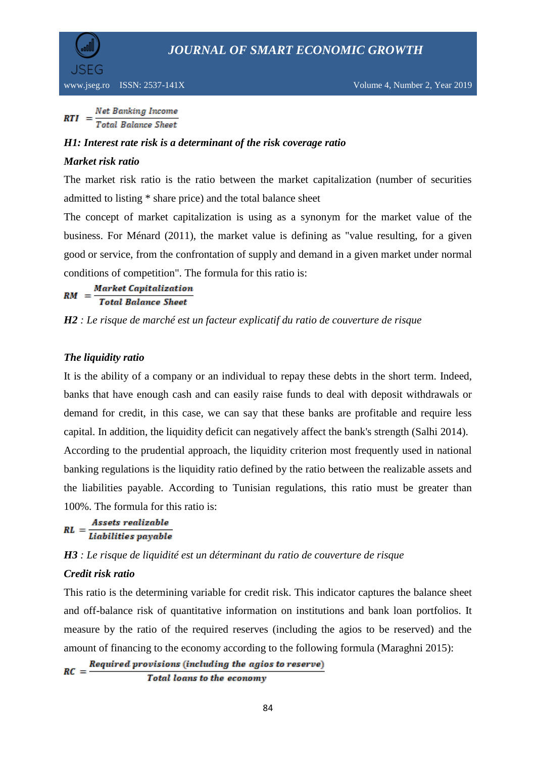

www.jseg.ro ISSN: 2537-141X Volume 4, Number 2, Year 2019

Net Banking Income  $RTI =$ **Total Balance Sheet** 

# *H1: Interest rate risk is a determinant of the risk coverage ratio*

#### *Market risk ratio*

The market risk ratio is the ratio between the market capitalization (number of securities admitted to listing \* share price) and the total balance sheet

The concept of market capitalization is using as a synonym for the market value of the business. For Ménard (2011), the market value is defining as "value resulting, for a given good or service, from the confrontation of supply and demand in a given market under normal conditions of competition". The formula for this ratio is:

**Market Capitalization**  $RM =$ **Total Balance Sheet** 

*H2 : Le risque de marché est un facteur explicatif du ratio de couverture de risque*

#### *The liquidity ratio*

It is the ability of a company or an individual to repay these debts in the short term. Indeed, banks that have enough cash and can easily raise funds to deal with deposit withdrawals or demand for credit, in this case, we can say that these banks are profitable and require less capital. In addition, the liquidity deficit can negatively affect the bank's strength (Salhi 2014). According to the prudential approach, the liquidity criterion most frequently used in national banking regulations is the liquidity ratio defined by the ratio between the realizable assets and the liabilities payable. According to Tunisian regulations, this ratio must be greater than 100%. The formula for this ratio is:

Assets realizable  $RL =$ Liabilities payable

*H3 : Le risque de liquidité est un déterminant du ratio de couverture de risque*

#### *Credit risk ratio*

This ratio is the determining variable for credit risk. This indicator captures the balance sheet and off-balance risk of quantitative information on institutions and bank loan portfolios. It measure by the ratio of the required reserves (including the agios to be reserved) and the amount of financing to the economy according to the following formula (Maraghni 2015):<br> $RC = \frac{Required \, provisions \, (including \, the \, agios \, to \, reserve)}{T}$ 

Total loans to the economy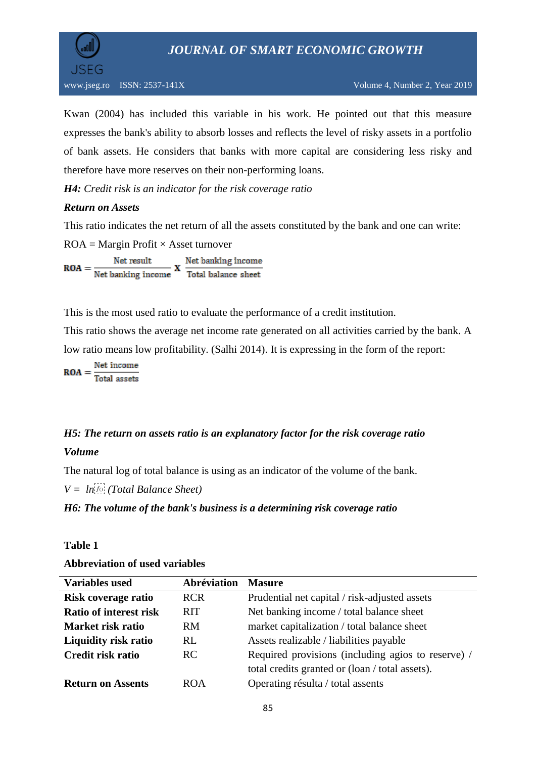



Kwan (2004) has included this variable in his work. He pointed out that this measure expresses the bank's ability to absorb losses and reflects the level of risky assets in a portfolio of bank assets. He considers that banks with more capital are considering less risky and therefore have more reserves on their non-performing loans.

*H4: Credit risk is an indicator for the risk coverage ratio*

#### *[Return on Assets](https://www.investopedia.com/terms/r/returnonassets.asp)*

This ratio indicates the net return of all the assets constituted by the bank and one can write:

 $ROA = Margin Profit \times Asset turnover$ 

 $\text{ROA} = \frac{\text{Net result}}{\text{Net banking income}} \text{X} \frac{\text{Net banking income}}{\text{Total balance sheet}}$ 

This is the most used ratio to evaluate the performance of a credit institution.

This ratio shows the average net income rate generated on all activities carried by the bank. A low ratio means low profitability. (Salhi 2014). It is expressing in the form of the report:

 $\text{ROA} = \frac{\text{Net income}}{\text{Total assets}}$ 

# *H5: The return on assets ratio is an explanatory factor for the risk coverage ratio*

#### *Volume*

The natural log of total balance is using as an indicator of the volume of the bank.

 $V = ln[$ *fo*: (Total Balance Sheet)

*H6: The volume of the bank's business is a determining risk coverage ratio*

#### **Table 1**

| <b>Variables used</b>         | Abréviation | <b>Masure</b>                                      |
|-------------------------------|-------------|----------------------------------------------------|
| Risk coverage ratio           | <b>RCR</b>  | Prudential net capital / risk-adjusted assets      |
| <b>Ratio of interest risk</b> | <b>RIT</b>  | Net banking income / total balance sheet           |
| Market risk ratio             | RM.         | market capitalization / total balance sheet        |
| Liquidity risk ratio          | RL          | Assets realizable / liabilities payable            |
| Credit risk ratio             | RC.         | Required provisions (including agios to reserve) / |
|                               |             | total credits granted or (loan / total assets).    |
| <b>Return on Assents</b>      | ROA         | Operating résulta / total assents                  |

| <b>Abbreviation of used variables</b> |  |  |
|---------------------------------------|--|--|
|                                       |  |  |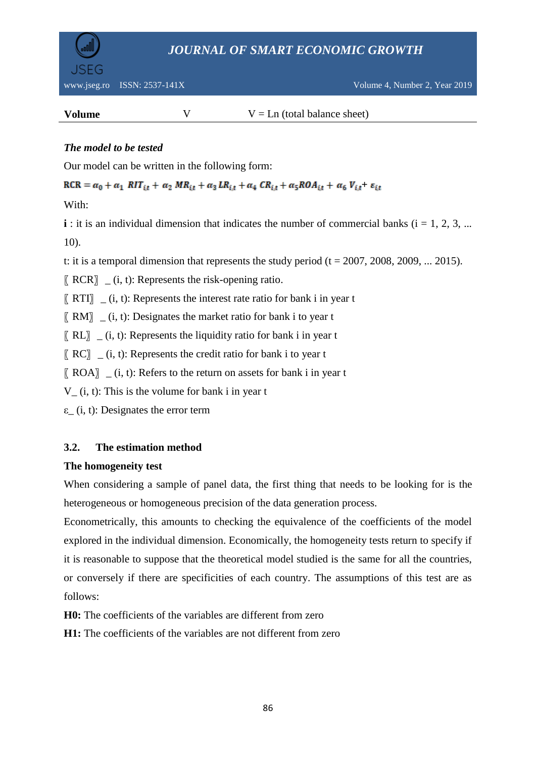



**Volume**  $V = \text{Ln}$  (total balance sheet)

### *The model to be tested*

Our model can be written in the following form:

 $RCR = \alpha_0 + \alpha_1 RIT_{it} + \alpha_2 MR_{it} + \alpha_3 LR_{it} + \alpha_4 CR_{it} + \alpha_5 ROA_{it} + \alpha_6 V_{it} + \varepsilon_{it}$ 

With:

 $\mathbf{i}$ : it is an individual dimension that indicates the number of commercial banks ( $\mathbf{i} = 1, 2, 3, \dots$ 10).

t: it is a temporal dimension that represents the study period  $(t = 2007, 2008, 2009, \dots, 2015)$ .

 $\begin{bmatrix} RCR \end{bmatrix}$  (i, t): Represents the risk-opening ratio.

 $\begin{bmatrix} RTI \end{bmatrix}$  (i, t): Represents the interest rate ratio for bank i in year t

 $\lbrack \lbrack \rbrack$  RM $\rbrack$  \_ (i, t): Designates the market ratio for bank i to year t

 $\llbracket$  RL $\rrbracket$  (i, t): Represents the liquidity ratio for bank i in year t

 $\begin{bmatrix} RC \end{bmatrix}$  (i, t): Represents the credit ratio for bank i to year t

 $\begin{bmatrix} ROA \end{bmatrix}$  (i, t): Refers to the return on assets for bank i in year t

 $V_{-}$  (i, t): This is the volume for bank i in year t

ε\_ (i, t): Designates the error term

## **3.2. The estimation method**

### **The homogeneity test**

When considering a sample of panel data, the first thing that needs to be looking for is the heterogeneous or homogeneous precision of the data generation process.

Econometrically, this amounts to checking the equivalence of the coefficients of the model explored in the individual dimension. Economically, the homogeneity tests return to specify if it is reasonable to suppose that the theoretical model studied is the same for all the countries, or conversely if there are specificities of each country. The assumptions of this test are as follows:

**H0:** The coefficients of the variables are different from zero

**H1:** The coefficients of the variables are not different from zero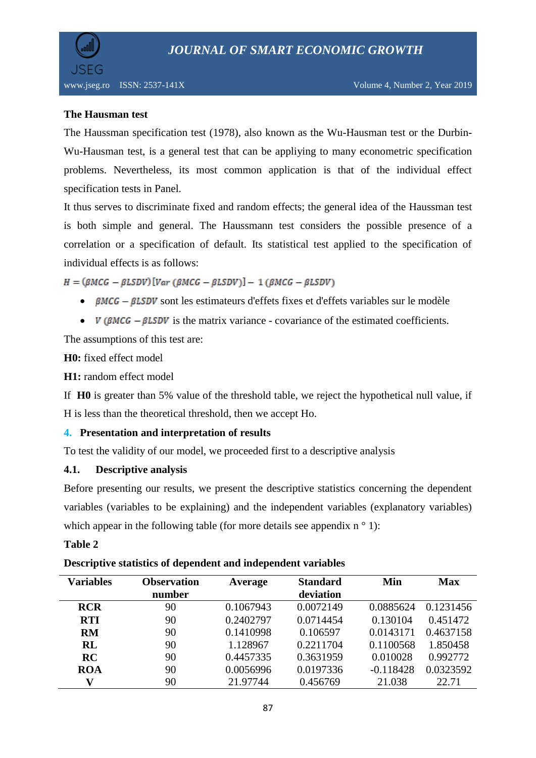

#### **The Hausman test**

The Haussman specification test (1978), also known as the Wu-Hausman test or the Durbin-Wu-Hausman test, is a general test that can be appliying to many econometric specification problems. Nevertheless, its most common application is that of the individual effect specification tests in Panel.

It thus serves to discriminate fixed and random effects; the general idea of the Haussman test is both simple and general. The Haussmann test considers the possible presence of a correlation or a specification of default. Its statistical test applied to the specification of individual effects is as follows:

 $H = (B M C G - B L SD V) [Var (B M C G - B L SD V)] - 1 (B M C G - B L SD V)$ 

- $\theta$  *BMCG BLSDV* sont les estimateurs d'effets fixes et d'effets variables sur le modèle
- $V (\beta MCG \beta LSD V)$  is the matrix variance covariance of the estimated coefficients.

The assumptions of this test are:

**H0:** fixed effect model

**H1:** random effect model

If **H0** is greater than 5% value of the threshold table, we reject the hypothetical null value, if H is less than the theoretical threshold, then we accept Ho.

#### **4. Presentation and interpretation of results**

To test the validity of our model, we proceeded first to a descriptive analysis

#### **4.1. Descriptive analysis**

Before presenting our results, we present the descriptive statistics concerning the dependent variables (variables to be explaining) and the independent variables (explanatory variables) which appear in the following table (for more details see appendix  $n \circ 1$ ):

#### **Table 2**

| Descriptive statistics of dependent and independent variables |  |  |
|---------------------------------------------------------------|--|--|
|                                                               |  |  |

| <b>Variables</b> | <b>Observation</b> | Average   | <b>Standard</b> | Min         | <b>Max</b> |  |
|------------------|--------------------|-----------|-----------------|-------------|------------|--|
|                  | number             |           | deviation       |             |            |  |
| <b>RCR</b>       | 90                 | 0.1067943 | 0.0072149       | 0.0885624   | 0.1231456  |  |
| <b>RTI</b>       | 90                 | 0.2402797 | 0.0714454       | 0.130104    | 0.451472   |  |
| <b>RM</b>        | 90                 | 0.1410998 | 0.106597        | 0.0143171   | 0.4637158  |  |
| RL               | 90                 | 1.128967  | 0.2211704       | 0.1100568   | 1.850458   |  |
| RC               | 90                 | 0.4457335 | 0.3631959       | 0.010028    | 0.992772   |  |
| <b>ROA</b>       | 90                 | 0.0056996 | 0.0197336       | $-0.118428$ | 0.0323592  |  |
|                  | 90                 | 21.97744  | 0.456769        | 21.038      | 22.71      |  |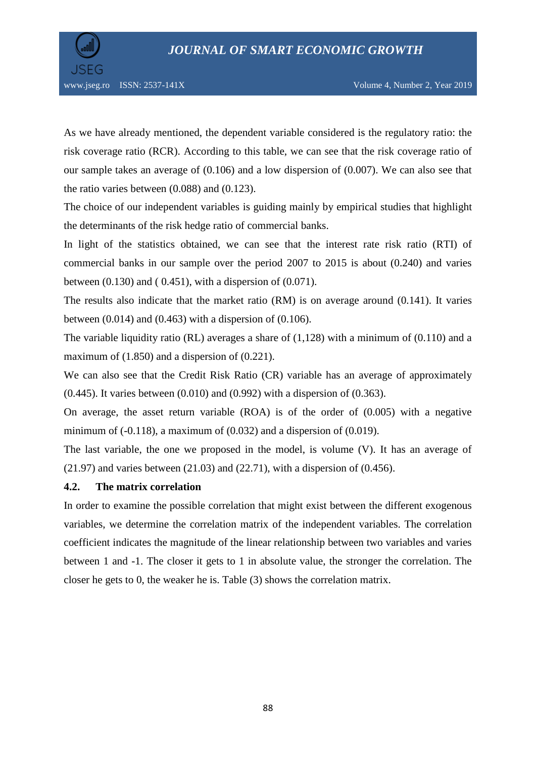

As we have already mentioned, the dependent variable considered is the regulatory ratio: the risk coverage ratio (RCR). According to this table, we can see that the risk coverage ratio of our sample takes an average of (0.106) and a low dispersion of (0.007). We can also see that the ratio varies between (0.088) and (0.123).

The choice of our independent variables is guiding mainly by empirical studies that highlight the determinants of the risk hedge ratio of commercial banks.

In light of the statistics obtained, we can see that the interest rate risk ratio (RTI) of commercial banks in our sample over the period 2007 to 2015 is about (0.240) and varies between  $(0.130)$  and  $(0.451)$ , with a dispersion of  $(0.071)$ .

The results also indicate that the market ratio (RM) is on average around (0.141). It varies between  $(0.014)$  and  $(0.463)$  with a dispersion of  $(0.106)$ .

The variable liquidity ratio (RL) averages a share of (1,128) with a minimum of (0.110) and a maximum of (1.850) and a dispersion of (0.221).

We can also see that the Credit Risk Ratio (CR) variable has an average of approximately (0.445). It varies between (0.010) and (0.992) with a dispersion of (0.363).

On average, the asset return variable (ROA) is of the order of (0.005) with a negative minimum of  $(-0.118)$ , a maximum of  $(0.032)$  and a dispersion of  $(0.019)$ .

The last variable, the one we proposed in the model, is volume (V). It has an average of  $(21.97)$  and varies between  $(21.03)$  and  $(22.71)$ , with a dispersion of  $(0.456)$ .

#### **4.2. The matrix correlation**

In order to examine the possible correlation that might exist between the different exogenous variables, we determine the correlation matrix of the independent variables. The correlation coefficient indicates the magnitude of the linear relationship between two variables and varies between 1 and -1. The closer it gets to 1 in absolute value, the stronger the correlation. The closer he gets to 0, the weaker he is. Table (3) shows the correlation matrix.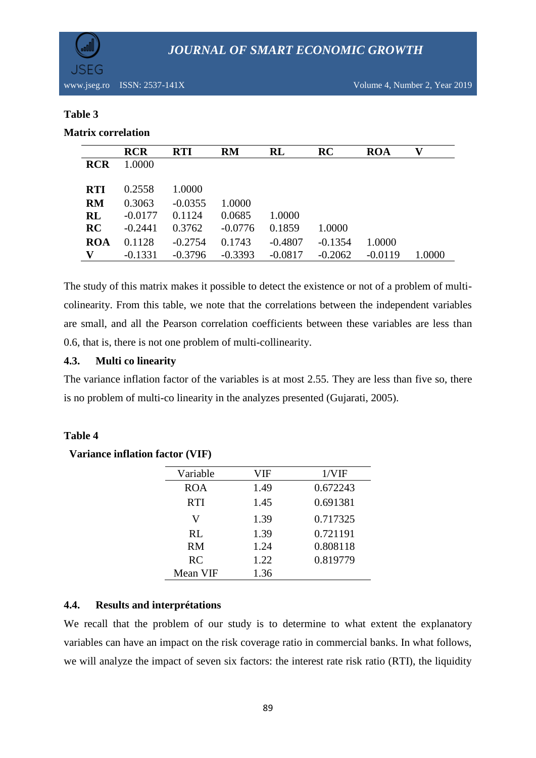

#### **Table 3**

#### **Matrix correlation**

|            | <b>RCR</b> | <b>RTI</b> | <b>RM</b> | RL        | <b>RC</b> | <b>ROA</b> | V      |
|------------|------------|------------|-----------|-----------|-----------|------------|--------|
| <b>RCR</b> | 1.0000     |            |           |           |           |            |        |
|            |            |            |           |           |           |            |        |
| <b>RTI</b> | 0.2558     | 1.0000     |           |           |           |            |        |
| <b>RM</b>  | 0.3063     | $-0.0355$  | 1.0000    |           |           |            |        |
| RL         | $-0.0177$  | 0.1124     | 0.0685    | 1.0000    |           |            |        |
| RC         | $-0.2441$  | 0.3762     | $-0.0776$ | 0.1859    | 1.0000    |            |        |
| <b>ROA</b> | 0.1128     | $-0.2754$  | 0.1743    | $-0.4807$ | $-0.1354$ | 1.0000     |        |
| v          | $-0.1331$  | $-0.3796$  | $-0.3393$ | $-0.0817$ | $-0.2062$ | $-0.0119$  | 1.0000 |

The study of this matrix makes it possible to detect the existence or not of a problem of multicolinearity. From this table, we note that the correlations between the independent variables are small, and all the Pearson correlation coefficients between these variables are less than 0.6, that is, there is not one problem of multi-collinearity.

#### **4.3. Multi co linearity**

The variance inflation factor of the variables is at most 2.55. They are less than five so, there is no problem of multi-co linearity in the analyzes presented (Gujarati, 2005).

#### **Table 4**

#### **Variance inflation factor (VIF)**

| Variable   | VIF  | $1/\mathrm{VIF}$ |
|------------|------|------------------|
| <b>ROA</b> | 1.49 | 0.672243         |
| <b>RTI</b> | 1.45 | 0.691381         |
| V          | 1.39 | 0.717325         |
| RL         | 1.39 | 0.721191         |
| RM         | 1.24 | 0.808118         |
| RC         | 1.22 | 0.819779         |
| Mean VIF   | 1.36 |                  |

#### **4.4. Results and interprétations**

We recall that the problem of our study is to determine to what extent the explanatory variables can have an impact on the risk coverage ratio in commercial banks. In what follows, we will analyze the impact of seven six factors: the interest rate risk ratio (RTI), the liquidity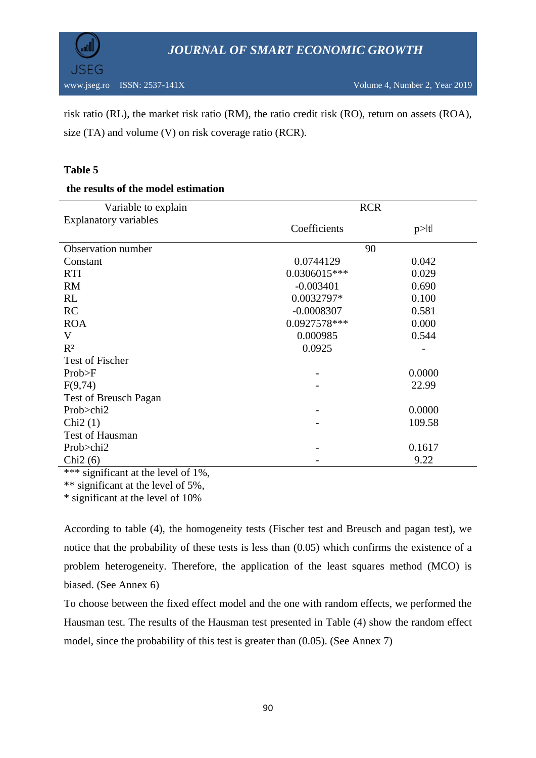

risk ratio (RL), the market risk ratio (RM), the ratio credit risk (RO), return on assets (ROA), size (TA) and volume (V) on risk coverage ratio (RCR).

#### **Table 5**

#### **the results of the model estimation**

| Variable to explain             | <b>RCR</b>     |             |  |  |  |
|---------------------------------|----------------|-------------|--|--|--|
| <b>Explanatory variables</b>    | Coefficients   | $p$ - $ t $ |  |  |  |
| Observation number              | 90             |             |  |  |  |
| Constant                        | 0.0744129      | 0.042       |  |  |  |
| <b>RTI</b>                      | $0.0306015***$ | 0.029       |  |  |  |
| <b>RM</b>                       | $-0.003401$    | 0.690       |  |  |  |
| RL                              | 0.0032797*     | 0.100       |  |  |  |
| RC                              | $-0.0008307$   | 0.581       |  |  |  |
| <b>ROA</b>                      | 0.0927578***   | 0.000       |  |  |  |
| V                               | 0.000985       | 0.544       |  |  |  |
| $R^2$                           | 0.0925         |             |  |  |  |
| Test of Fischer                 |                |             |  |  |  |
| Prob>F                          |                | 0.0000      |  |  |  |
| F(9,74)                         |                | 22.99       |  |  |  |
| <b>Test of Breusch Pagan</b>    |                |             |  |  |  |
| Prob>chi2                       |                | 0.0000      |  |  |  |
| Chi2(1)                         |                | 109.58      |  |  |  |
| <b>Test of Hausman</b>          |                |             |  |  |  |
| Prob>chi2                       |                | 0.1617      |  |  |  |
| Chi2(6)<br>$\sim$ $\sim$ $\sim$ |                | 9.22        |  |  |  |

\*\*\* significant at the level of 1%,

\*\* significant at the level of 5%,

\* significant at the level of 10%

According to table (4), the homogeneity tests (Fischer test and Breusch and pagan test), we notice that the probability of these tests is less than (0.05) which confirms the existence of a problem heterogeneity. Therefore, the application of the least squares method (MCO) is biased. (See Annex 6)

To choose between the fixed effect model and the one with random effects, we performed the Hausman test. The results of the Hausman test presented in Table (4) show the random effect model, since the probability of this test is greater than (0.05). (See Annex 7)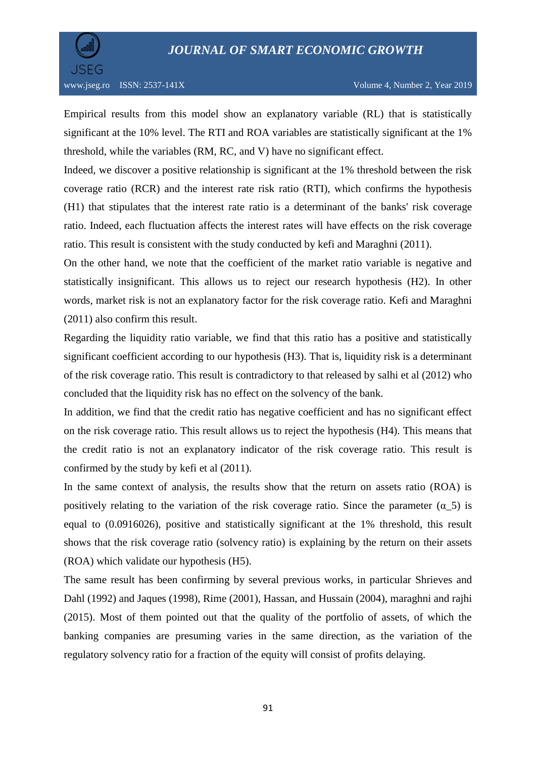

Empirical results from this model show an explanatory variable (RL) that is statistically significant at the 10% level. The RTI and ROA variables are statistically significant at the 1% threshold, while the variables (RM, RC, and V) have no significant effect.

Indeed, we discover a positive relationship is significant at the 1% threshold between the risk coverage ratio (RCR) and the interest rate risk ratio (RTI), which confirms the hypothesis (H1) that stipulates that the interest rate ratio is a determinant of the banks' risk coverage ratio. Indeed, each fluctuation affects the interest rates will have effects on the risk coverage ratio. This result is consistent with the study conducted by kefi and Maraghni (2011).

On the other hand, we note that the coefficient of the market ratio variable is negative and statistically insignificant. This allows us to reject our research hypothesis (H2). In other words, market risk is not an explanatory factor for the risk coverage ratio. Kefi and Maraghni (2011) also confirm this result.

Regarding the liquidity ratio variable, we find that this ratio has a positive and statistically significant coefficient according to our hypothesis (H3). That is, liquidity risk is a determinant of the risk coverage ratio. This result is contradictory to that released by salhi et al (2012) who concluded that the liquidity risk has no effect on the solvency of the bank.

In addition, we find that the credit ratio has negative coefficient and has no significant effect on the risk coverage ratio. This result allows us to reject the hypothesis (H4). This means that the credit ratio is not an explanatory indicator of the risk coverage ratio. This result is confirmed by the study by kefi et al (2011).

In the same context of analysis, the results show that the return on assets ratio (ROA) is positively relating to the variation of the risk coverage ratio. Since the parameter  $(\alpha_5)$  is equal to (0.0916026), positive and statistically significant at the 1% threshold, this result shows that the risk coverage ratio (solvency ratio) is explaining by the return on their assets (ROA) which validate our hypothesis (H5).

The same result has been confirming by several previous works, in particular Shrieves and Dahl (1992) and Jaques (1998), Rime (2001), Hassan, and Hussain (2004), maraghni and rajhi (2015). Most of them pointed out that the quality of the portfolio of assets, of which the banking companies are presuming varies in the same direction, as the variation of the regulatory solvency ratio for a fraction of the equity will consist of profits delaying.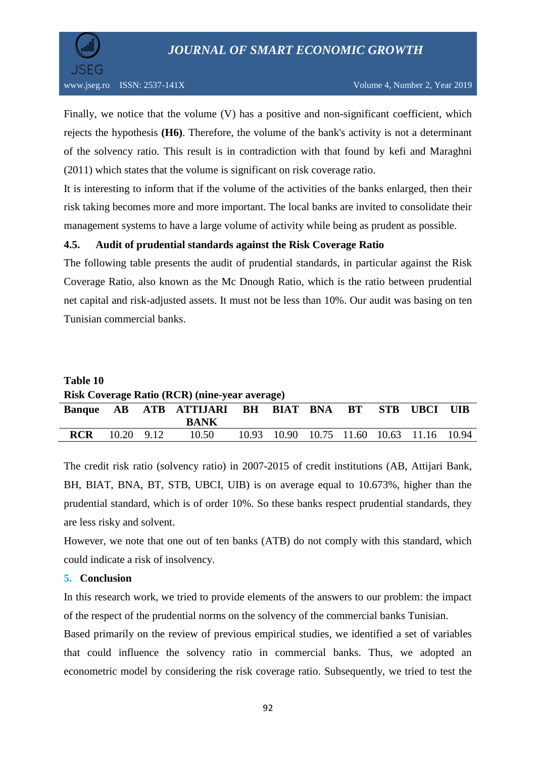

Finally, we notice that the volume (V) has a positive and non-significant coefficient, which rejects the hypothesis **(H6)**. Therefore, the volume of the bank's activity is not a determinant of the solvency ratio. This result is in contradiction with that found by kefi and Maraghni (2011) which states that the volume is significant on risk coverage ratio.

It is interesting to inform that if the volume of the activities of the banks enlarged, then their risk taking becomes more and more important. The local banks are invited to consolidate their management systems to have a large volume of activity while being as prudent as possible.

#### **4.5. Audit of prudential standards against the Risk Coverage Ratio**

The following table presents the audit of prudential standards, in particular against the Risk Coverage Ratio, also known as the Mc Dnough Ratio, which is the ratio between prudential net capital and risk-adjusted assets. It must not be less than 10%. Our audit was basing on ten Tunisian commercial banks.

| Table 10 |                                                      |  |                                            |  |  |  |      |       |          |  |
|----------|------------------------------------------------------|--|--------------------------------------------|--|--|--|------|-------|----------|--|
|          | <b>Risk Coverage Ratio (RCR) (nine-year average)</b> |  |                                            |  |  |  |      |       |          |  |
|          |                                                      |  | Banque AB ATB ATTIJARI BH BIAT BNA<br>BANK |  |  |  | - BT | - STR | UBCI UIB |  |

**RCR** 10.20 9.12 10.50 10.93 10.90 10.75 11.60 10.63 11.16 10.94

The credit risk ratio (solvency ratio) in 2007-2015 of credit institutions (AB, Attijari Bank, BH, BIAT, BNA, BT, STB, UBCI, UIB) is on average equal to 10.673%, higher than the prudential standard, which is of order 10%. So these banks respect prudential standards, they are less risky and solvent.

However, we note that one out of ten banks (ATB) do not comply with this standard, which could indicate a risk of insolvency.

#### **5. Conclusion**

In this research work, we tried to provide elements of the answers to our problem: the impact of the respect of the prudential norms on the solvency of the commercial banks Tunisian.

Based primarily on the review of previous empirical studies, we identified a set of variables that could influence the solvency ratio in commercial banks. Thus, we adopted an econometric model by considering the risk coverage ratio. Subsequently, we tried to test the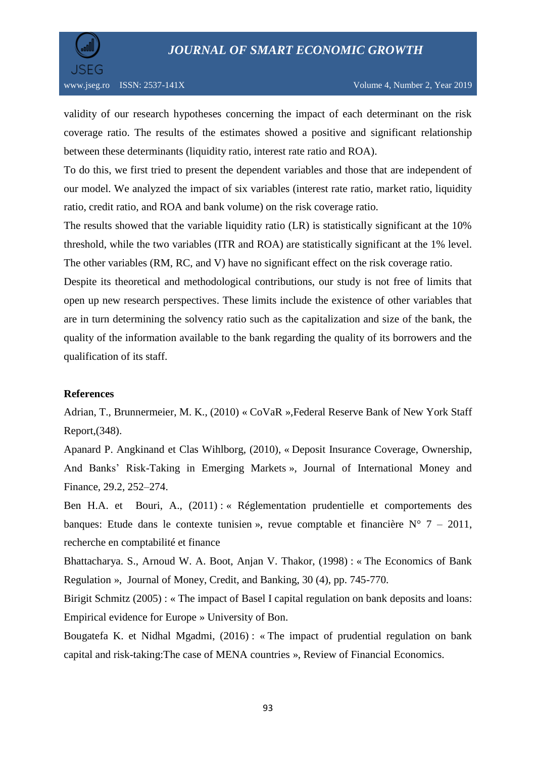

validity of our research hypotheses concerning the impact of each determinant on the risk coverage ratio. The results of the estimates showed a positive and significant relationship between these determinants (liquidity ratio, interest rate ratio and ROA).

To do this, we first tried to present the dependent variables and those that are independent of our model. We analyzed the impact of six variables (interest rate ratio, market ratio, liquidity ratio, credit ratio, and ROA and bank volume) on the risk coverage ratio.

The results showed that the variable liquidity ratio (LR) is statistically significant at the 10% threshold, while the two variables (ITR and ROA) are statistically significant at the 1% level. The other variables (RM, RC, and V) have no significant effect on the risk coverage ratio.

Despite its theoretical and methodological contributions, our study is not free of limits that open up new research perspectives. These limits include the existence of other variables that are in turn determining the solvency ratio such as the capitalization and size of the bank, the quality of the information available to the bank regarding the quality of its borrowers and the qualification of its staff.

#### **References**

Adrian, T., Brunnermeier, M. K., (2010) « CoVaR »,Federal Reserve Bank of New York Staff Report,(348).

Apanard P. Angkinand et Clas Wihlborg, (2010), « Deposit Insurance Coverage, Ownership, And Banks' Risk-Taking in Emerging Markets », Journal of International Money and Finance, 29.2, 252–274.

Ben H.A. et Bouri, A., (2011) : « Réglementation prudentielle et comportements des banques: Etude dans le contexte tunisien », revue comptable et financière  $N^{\circ}$  7 – 2011, recherche en comptabilité et finance

Bhattacharya. S., Arnoud W. A. Boot, Anjan V. Thakor, (1998) : « The Economics of Bank Regulation », Journal of Money, Credit, and Banking, 30 (4), pp. 745-770.

Birigit Schmitz (2005) : « The impact of Basel I capital regulation on bank deposits and loans: Empirical evidence for Europe » University of Bon.

Bougatefa K. et Nidhal Mgadmi, (2016) : « The impact of prudential regulation on bank capital and risk-taking:The case of MENA countries », Review of Financial Economics.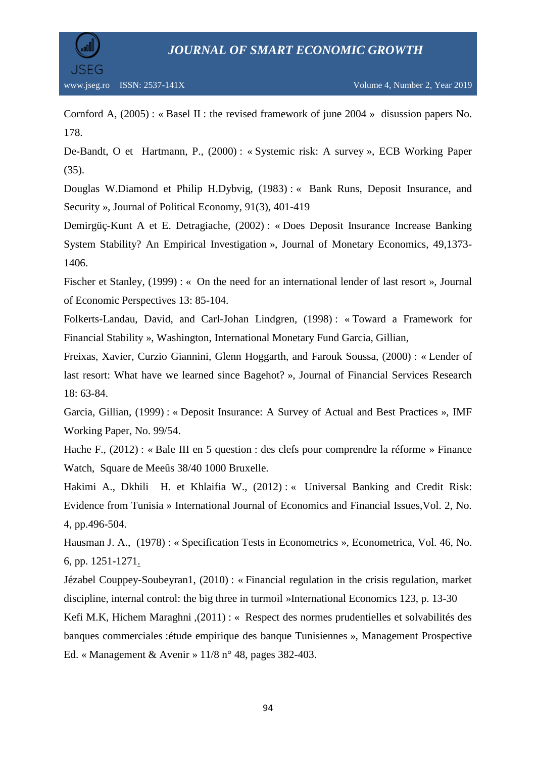

Cornford A, (2005) : « Basel II : the revised framework of june 2004 » disussion papers No. 178.

De-Bandt, O et Hartmann, P., (2000) : « Systemic risk: A survey », ECB Working Paper (35).

Douglas W.Diamond et Philip H.Dybvig, (1983) : « Bank Runs, Deposit Insurance, and Security », Journal of Political Economy, 91(3), 401-419

Demirgüç-Kunt A et E. Detragiache, (2002) : « Does Deposit Insurance Increase Banking System Stability? An Empirical Investigation », Journal of Monetary Economics, 49,1373- 1406.

Fischer et Stanley, (1999) : « On the need for an international lender of last resort », Journal of Economic Perspectives 13: 85-104.

Folkerts-Landau, David, and Carl-Johan Lindgren, (1998) : « Toward a Framework for Financial Stability », Washington, International Monetary Fund Garcia, Gillian,

Freixas, Xavier, Curzio Giannini, Glenn Hoggarth, and Farouk Soussa, (2000) : « Lender of last resort: What have we learned since Bagehot? », Journal of Financial Services Research 18: 63-84.

Garcia, Gillian, (1999) : « Deposit Insurance: A Survey of Actual and Best Practices », IMF Working Paper, No. 99/54.

Hache F., (2012) : « Bale III en 5 question : des clefs pour comprendre la réforme » Finance Watch, Square de Meeûs 38/40 1000 Bruxelle.

Hakimi A., Dkhili H. et Khlaifia W., (2012) : « Universal Banking and Credit Risk: Evidence from Tunisia » International Journal of Economics and Financial Issues,Vol. 2, No. 4, pp.496-504.

Hausman J. A., (1978) : « Specification Tests in Econometrics », Econometrica, Vol. 46, No. 6, pp. 1251-1271.

Jézabel Couppey-Soubeyran1, (2010) : « Financial regulation in the crisis regulation, market discipline, internal control: the big three in turmoil »International Economics 123, p. 13-30

Kefi M.K, Hichem Maraghni ,(2011) : « Respect des normes prudentielles et solvabilités des banques commerciales :étude empirique des banque Tunisiennes », Management Prospective Ed. « Management & Avenir » 11/8 n° 48, pages 382-403.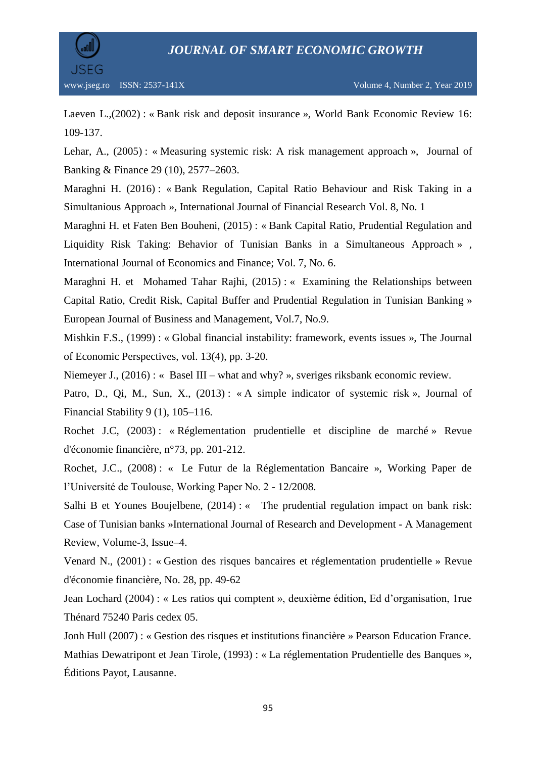

Laeven L.,(2002) : « Bank risk and deposit insurance », World Bank Economic Review 16: 109-137.

Lehar, A., (2005) : « Measuring systemic risk: A risk management approach », Journal of Banking & Finance 29 (10), 2577–2603.

Maraghni H. (2016) : « Bank Regulation, Capital Ratio Behaviour and Risk Taking in a Simultanious Approach », International Journal of Financial Research Vol. 8, No. 1

Maraghni H. et Faten Ben Bouheni, (2015) : « Bank Capital Ratio, Prudential Regulation and Liquidity Risk Taking: Behavior of Tunisian Banks in a Simultaneous Approach » , International Journal of Economics and Finance; Vol. 7, No. 6.

Maraghni H. et Mohamed Tahar Rajhi, (2015) : « Examining the Relationships between Capital Ratio, Credit Risk, Capital Buffer and Prudential Regulation in Tunisian Banking » European Journal of Business and Management, Vol.7, No.9.

Mishkin F.S., (1999) : « Global financial instability: framework, events issues », The Journal of Economic Perspectives, vol. 13(4), pp. 3-20.

Niemeyer J., (2016) : « Basel III – what and why? », sveriges riksbank economic review.

Patro, D., Qi, M., Sun, X., (2013) : « A simple indicator of systemic risk », Journal of Financial Stability 9 (1), 105–116.

Rochet J.C, (2003) : « Réglementation prudentielle et discipline de marché » Revue d'économie financière, n°73, pp. 201-212.

Rochet, J.C., (2008) : « Le Futur de la Réglementation Bancaire », Working Paper de l'Université de Toulouse, Working Paper No. 2 - 12/2008.

Salhi B et Younes Boujelbene,  $(2014)$ : « The prudential regulation impact on bank risk: Case of Tunisian banks »International Journal of Research and Development - A Management Review, Volume-3, Issue–4.

Venard N., (2001) : « Gestion des risques bancaires et réglementation prudentielle » Revue d'économie financière, No. 28, pp. 49-62

Jean Lochard (2004) : « Les ratios qui comptent », deuxième édition, Ed d'organisation, 1rue Thénard 75240 Paris cedex 05.

Jonh Hull (2007) : « Gestion des risques et institutions financière » Pearson Education France. Mathias Dewatripont et Jean Tirole, (1993) : « La réglementation Prudentielle des Banques », Éditions Payot, Lausanne.